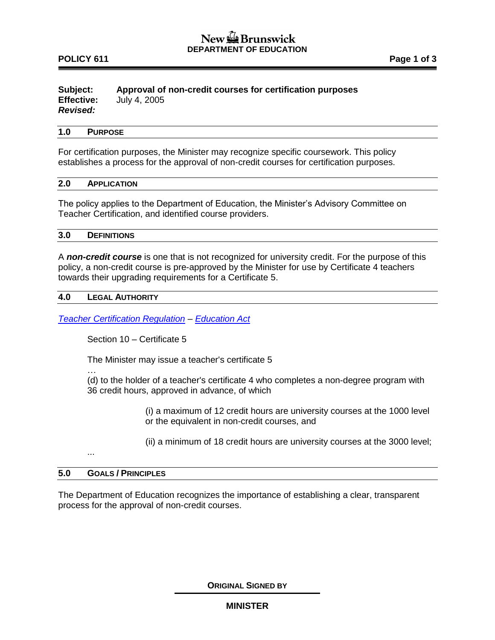### **POLICY 611 Page 1 of 3**

#### **Subject: Approval of non-credit courses for certification purposes Effective:** July 4, 2005 *Revised:*

### **1.0 PURPOSE**

For certification purposes, the Minister may recognize specific coursework. This policy establishes a process for the approval of non-credit courses for certification purposes.

### **2.0 APPLICATION**

The policy applies to the Department of Education, the Minister's Advisory Committee on Teacher Certification, and identified course providers.

### **3.0 DEFINITIONS**

A *non-credit course* is one that is not recognized for university credit. For the purpose of this policy, a non-credit course is pre-approved by the Minister for use by Certificate 4 teachers towards their upgrading requirements for a Certificate 5.

### **4.0 LEGAL AUTHORITY**

*[Teacher Certification Regulation](http://laws.gnb.ca/en/ShowPdf/cr/2004-8.pdf) – [Education Act](http://laws.gnb.ca/en/ShowPdf/cs/E-1.12.pdf)*

Section 10 – Certificate 5

The Minister may issue a teacher's certificate 5

(d) to the holder of a teacher's certificate 4 who completes a non-degree program with 36 credit hours, approved in advance, of which

> (i) a maximum of 12 credit hours are university courses at the 1000 level or the equivalent in non-credit courses, and

> (ii) a minimum of 18 credit hours are university courses at the 3000 level;

...

…

### **5.0 GOALS / PRINCIPLES**

The Department of Education recognizes the importance of establishing a clear, transparent process for the approval of non-credit courses.

**ORIGINAL SIGNED BY**

### **MINISTER**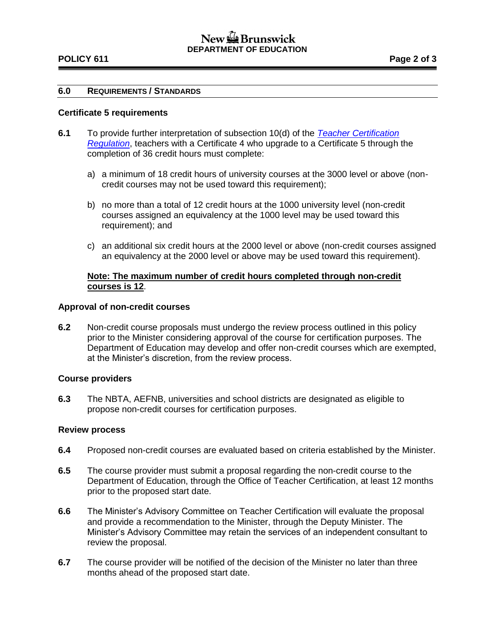# New September Brunswick **DEPARTMENT OF EDUCATION**

### **POLICY 611 Page 2 of 3**

### **6.0 REQUIREMENTS / STANDARDS**

### **Certificate 5 requirements**

- **6.1** To provide further interpretation of subsection 10(d) of the *[Teacher Certification](http://laws.gnb.ca/en/ShowPdf/cr/2004-8.pdf)  [Regulation](http://laws.gnb.ca/en/ShowPdf/cr/2004-8.pdf)*, teachers with a Certificate 4 who upgrade to a Certificate 5 through the completion of 36 credit hours must complete:
	- a) a minimum of 18 credit hours of university courses at the 3000 level or above (noncredit courses may not be used toward this requirement);
	- b) no more than a total of 12 credit hours at the 1000 university level (non-credit courses assigned an equivalency at the 1000 level may be used toward this requirement); and
	- c) an additional six credit hours at the 2000 level or above (non-credit courses assigned an equivalency at the 2000 level or above may be used toward this requirement).

### **Note: The maximum number of credit hours completed through non-credit courses is 12**.

### **Approval of non-credit courses**

**6.2** Non-credit course proposals must undergo the review process outlined in this policy prior to the Minister considering approval of the course for certification purposes. The Department of Education may develop and offer non-credit courses which are exempted, at the Minister's discretion, from the review process.

### **Course providers**

**6.3** The NBTA, AEFNB, universities and school districts are designated as eligible to propose non-credit courses for certification purposes.

### **Review process**

- **6.4** Proposed non-credit courses are evaluated based on criteria established by the Minister.
- **6.5** The course provider must submit a proposal regarding the non-credit course to the Department of Education, through the Office of Teacher Certification, at least 12 months prior to the proposed start date.
- **6.6** The Minister's Advisory Committee on Teacher Certification will evaluate the proposal and provide a recommendation to the Minister, through the Deputy Minister. The Minister's Advisory Committee may retain the services of an independent consultant to review the proposal.
- **6.7** The course provider will be notified of the decision of the Minister no later than three months ahead of the proposed start date.